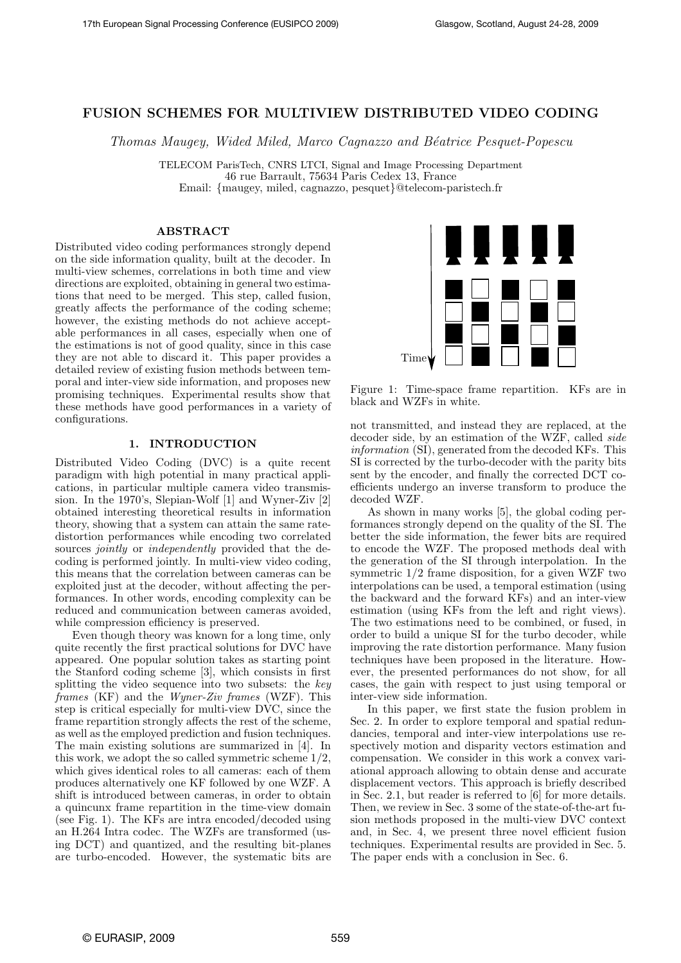# FUSION SCHEMES FOR MULTIVIEW DISTRIBUTED VIDEO CODING

Thomas Maugey, Wided Miled, Marco Cagnazzo and Béatrice Pesquet-Popescu

TELECOM ParisTech, CNRS LTCI, Signal and Image Processing Department 46 rue Barrault, 75634 Paris Cedex 13, France Email: {maugey, miled, cagnazzo, pesquet}@telecom-paristech.fr

## ABSTRACT

Distributed video coding performances strongly depend on the side information quality, built at the decoder. In multi-view schemes, correlations in both time and view directions are exploited, obtaining in general two estimations that need to be merged. This step, called fusion, greatly affects the performance of the coding scheme; however, the existing methods do not achieve acceptable performances in all cases, especially when one of the estimations is not of good quality, since in this case they are not able to discard it. This paper provides a detailed review of existing fusion methods between temporal and inter-view side information, and proposes new promising techniques. Experimental results show that these methods have good performances in a variety of configurations.

## 1. INTRODUCTION

Distributed Video Coding (DVC) is a quite recent paradigm with high potential in many practical applications, in particular multiple camera video transmission. In the 1970's, Slepian-Wolf [1] and Wyner-Ziv [2] obtained interesting theoretical results in information theory, showing that a system can attain the same ratedistortion performances while encoding two correlated sources *jointly* or *independently* provided that the decoding is performed jointly. In multi-view video coding, this means that the correlation between cameras can be exploited just at the decoder, without affecting the performances. In other words, encoding complexity can be reduced and communication between cameras avoided, while compression efficiency is preserved.

Even though theory was known for a long time, only quite recently the first practical solutions for DVC have appeared. One popular solution takes as starting point the Stanford coding scheme [3], which consists in first splitting the video sequence into two subsets: the key frames (KF) and the Wyner-Ziv frames (WZF). This step is critical especially for multi-view DVC, since the frame repartition strongly affects the rest of the scheme, as well as the employed prediction and fusion techniques. The main existing solutions are summarized in [4]. In this work, we adopt the so called symmetric scheme 1/2, which gives identical roles to all cameras: each of them produces alternatively one KF followed by one WZF. A shift is introduced between cameras, in order to obtain a quincunx frame repartition in the time-view domain (see Fig. 1). The KFs are intra encoded/decoded using an H.264 Intra codec. The WZFs are transformed (using DCT) and quantized, and the resulting bit-planes are turbo-encoded. However, the systematic bits are



Figure 1: Time-space frame repartition. KFs are in black and WZFs in white.

not transmitted, and instead they are replaced, at the decoder side, by an estimation of the WZF, called side information (SI), generated from the decoded KFs. This SI is corrected by the turbo-decoder with the parity bits sent by the encoder, and finally the corrected DCT coefficients undergo an inverse transform to produce the decoded WZF.

As shown in many works [5], the global coding performances strongly depend on the quality of the SI. The better the side information, the fewer bits are required to encode the WZF. The proposed methods deal with the generation of the SI through interpolation. In the symmetric 1/2 frame disposition, for a given WZF two interpolations can be used, a temporal estimation (using the backward and the forward KFs) and an inter-view estimation (using KFs from the left and right views). The two estimations need to be combined, or fused, in order to build a unique SI for the turbo decoder, while improving the rate distortion performance. Many fusion techniques have been proposed in the literature. However, the presented performances do not show, for all cases, the gain with respect to just using temporal or inter-view side information.

In this paper, we first state the fusion problem in Sec. 2. In order to explore temporal and spatial redundancies, temporal and inter-view interpolations use respectively motion and disparity vectors estimation and compensation. We consider in this work a convex variational approach allowing to obtain dense and accurate displacement vectors. This approach is briefly described in Sec. 2.1, but reader is referred to [6] for more details. Then, we review in Sec. 3 some of the state-of-the-art fusion methods proposed in the multi-view DVC context and, in Sec. 4, we present three novel efficient fusion techniques. Experimental results are provided in Sec. 5. The paper ends with a conclusion in Sec. 6.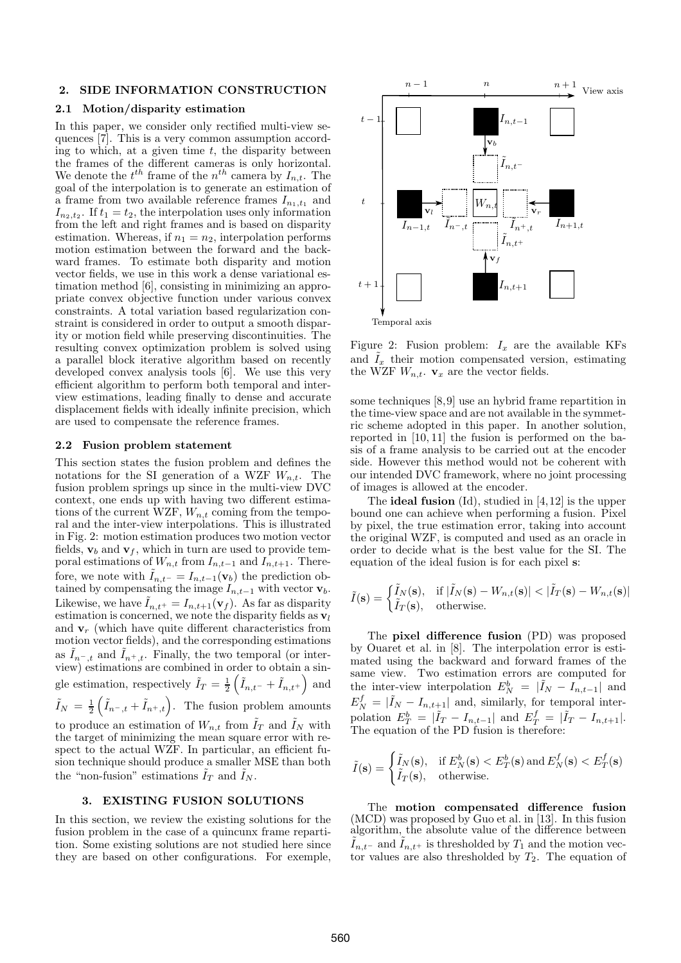### 2. SIDE INFORMATION CONSTRUCTION

## 2.1 Motion/disparity estimation

In this paper, we consider only rectified multi-view sequences [7]. This is a very common assumption according to which, at a given time  $t$ , the disparity between the frames of the different cameras is only horizontal. We denote the  $t^{th}$  frame of the  $n^{th}$  camera by  $I_{n,t}$ . The goal of the interpolation is to generate an estimation of a frame from two available reference frames  $I_{n_1,t_1}$  and  $I_{n_2,t_2}$ . If  $t_1 = t_2$ , the interpolation uses only information from the left and right frames and is based on disparity estimation. Whereas, if  $n_1 = n_2$ , interpolation performs motion estimation between the forward and the backward frames. To estimate both disparity and motion vector fields, we use in this work a dense variational estimation method [6], consisting in minimizing an appropriate convex objective function under various convex constraints. A total variation based regularization constraint is considered in order to output a smooth disparity or motion field while preserving discontinuities. The resulting convex optimization problem is solved using a parallel block iterative algorithm based on recently developed convex analysis tools [6]. We use this very efficient algorithm to perform both temporal and interview estimations, leading finally to dense and accurate displacement fields with ideally infinite precision, which are used to compensate the reference frames.

### 2.2 Fusion problem statement

This section states the fusion problem and defines the notations for the SI generation of a WZF  $W_{n,t}$ . The fusion problem springs up since in the multi-view DVC context, one ends up with having two different estimations of the current WZF,  $W_{n,t}$  coming from the temporal and the inter-view interpolations. This is illustrated in Fig. 2: motion estimation produces two motion vector fields,  $\mathbf{v}_b$  and  $\mathbf{v}_f$ , which in turn are used to provide temporal estimations of  $W_{n,t}$  from  $I_{n,t-1}$  and  $I_{n,t+1}$ . Therefore, we note with  $\tilde{I}_{n,t^-} = I_{n,t-1}(\mathbf{v}_b)$  the prediction obtained by compensating the image  $I_{n,t-1}$  with vector  $\mathbf{v}_b$ . Likewise, we have  $I_{n,t+} = I_{n,t+1}(\mathbf{v}_f)$ . As far as disparity estimation is concerned, we note the disparity fields as  $v_l$ and  $v_r$  (which have quite different characteristics from motion vector fields), and the corresponding estimations as  $I_{n-,t}$  and  $I_{n^+,t}$ . Finally, the two temporal (or interview) estimations are combined in order to obtain a single estimation, respectively  $\tilde{I}_T = \frac{1}{2} \left( \tilde{I}_{n,t^{-}} + \tilde{I}_{n,t^{+}} \right)$  and  $\tilde{I}_N = \frac{1}{2} \left( \tilde{I}_{n-,t} + \tilde{I}_{n^+,t} \right)$ . The fusion problem amounts to produce an estimation of  $W_{n,t}$  from  $\tilde{I}_T$  and  $\tilde{I}_N$  with the target of minimizing the mean square error with respect to the actual WZF. In particular, an efficient fusion technique should produce a smaller MSE than both the "non-fusion" estimations  $\tilde{I}_T$  and  $\tilde{I}_N$ .

### 3. EXISTING FUSION SOLUTIONS

In this section, we review the existing solutions for the fusion problem in the case of a quincunx frame repartition. Some existing solutions are not studied here since they are based on other configurations. For exemple,



Figure 2: Fusion problem:  $I_x$  are the available KFs and  $\tilde{I}_x$  their motion compensated version, estimating the WZF  $W_{n,t}$ .  $\mathbf{v}_x$  are the vector fields.

some techniques [8,9] use an hybrid frame repartition in the time-view space and are not available in the symmetric scheme adopted in this paper. In another solution, reported in [10, 11] the fusion is performed on the basis of a frame analysis to be carried out at the encoder side. However this method would not be coherent with our intended DVC framework, where no joint processing of images is allowed at the encoder.

The **ideal fusion** (Id), studied in [4,12] is the upper bound one can achieve when performing a fusion. Pixel by pixel, the true estimation error, taking into account the original WZF, is computed and used as an oracle in order to decide what is the best value for the SI. The equation of the ideal fusion is for each pixel s:

$$
\tilde{I}(\mathbf{s}) = \begin{cases}\n\tilde{I}_N(\mathbf{s}), & \text{if } |\tilde{I}_N(\mathbf{s}) - W_{n,t}(\mathbf{s})| < |\tilde{I}_T(\mathbf{s}) - W_{n,t}(\mathbf{s})| \\
\tilde{I}_T(\mathbf{s}), & \text{otherwise.}\n\end{cases}
$$

The pixel difference fusion (PD) was proposed by Ouaret et al. in [8]. The interpolation error is estimated using the backward and forward frames of the same view. Two estimation errors are computed for the inter-view interpolation  $E_N^b = |\tilde{I}_N - I_{n,t-1}|$  and  $E_N^f = |\tilde{I}_N - I_{n,t+1}|$  and, similarly, for temporal interpolation  $E_T^b = |\tilde{I}_T - I_{n,t-1}|$  and  $E_T^f = |\tilde{I}_T - I_{n,t+1}|$ . The equation of the PD fusion is therefore:

$$
\tilde{I}(\mathbf{s}) = \begin{cases}\n\tilde{I}_N(\mathbf{s}), & \text{if } E^b_N(\mathbf{s}) < E^b_T(\mathbf{s}) \text{ and } E^f_N(\mathbf{s}) < E^f_T(\mathbf{s}) \\
\tilde{I}_T(\mathbf{s}), & \text{otherwise.}\n\end{cases}
$$

The motion compensated difference fusion (MCD) was proposed by Guo et al. in [13]. In this fusion algorithm, the absolute value of the difference between  $\tilde{I}_{n,t-}$  and  $\tilde{I}_{n,t+}$  is thresholded by  $T_1$  and the motion vector values are also thresholded by  $T_2$ . The equation of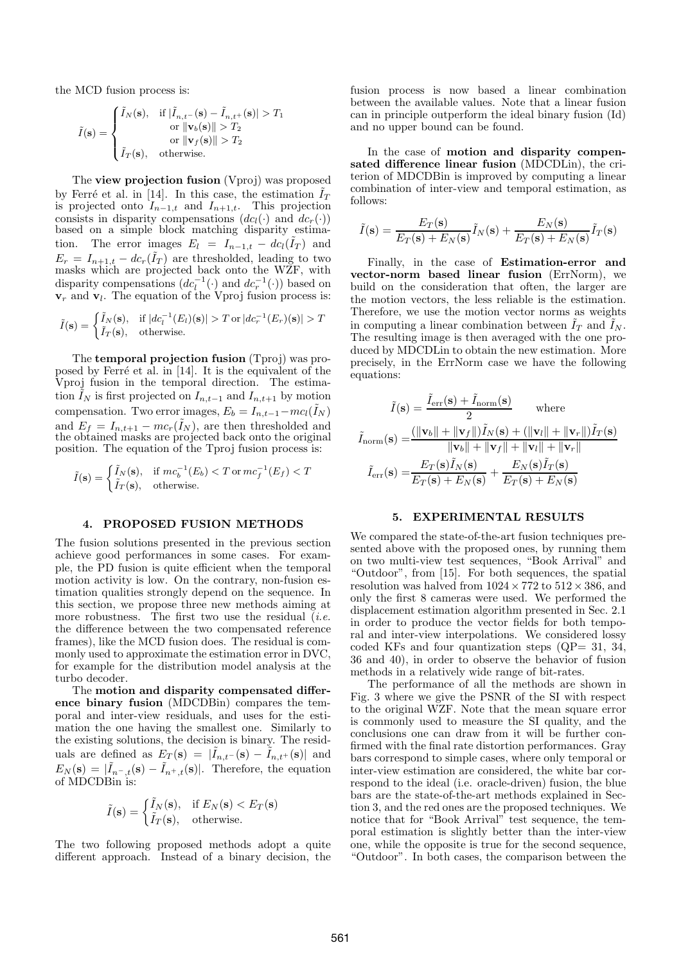the MCD fusion process is:

$$
\tilde{I}(\mathbf{s}) = \begin{cases}\n\tilde{I}_N(\mathbf{s}), & \text{if } |\tilde{I}_{n,t-}(\mathbf{s}) - \tilde{I}_{n,t+}(\mathbf{s})| > T_1 \\
& \text{or } ||\mathbf{v}_b(\mathbf{s})|| > T_2 \\
& \text{or } ||\mathbf{v}_f(\mathbf{s})|| > T_2 \\
\tilde{I}_T(\mathbf{s}), & \text{otherwise.} \n\end{cases}
$$

The view projection fusion (Vproj) was proposed by Ferré et al. in [14]. In this case, the estimation  $\tilde{I}_T$ is projected onto  $I_{n-1,t}$  and  $I_{n+1,t}$ . This projection consists in disparity compensations  $(dc_l(\cdot))$  and  $dc_r(\cdot))$ based on a simple block matching disparity estimation. The error images  $E_l = I_{n-1,t} - d c_l(\tilde{I}_T)$  and  $E_r = I_{n+1,t} - dc_r(\tilde{I}_T)$  are thresholded, leading to two masks which are projected back onto the WZF, with disparity compensations  $(dc_l^{-1}(\cdot)$  and  $dc_r^{-1}(\cdot)$ ) based on  $\mathbf{v}_r$  and  $\mathbf{v}_l$ . The equation of the Vproj fusion process is:

$$
\tilde{I}(\mathbf{s}) = \begin{cases}\n\tilde{I}_N(\mathbf{s}), & \text{if } |dc_l^{-1}(E_l)(\mathbf{s})| > T \text{ or } |dc_r^{-1}(E_r)(\mathbf{s})| > T \\
\tilde{I}_T(\mathbf{s}), & \text{otherwise.}\n\end{cases}
$$

The temporal projection fusion (Tproj) was proposed by Ferré et al. in  $[14]$ . It is the equivalent of the Vproj fusion in the temporal direction. The estimation  $\tilde{I}_N$  is first projected on  $I_{n,t-1}$  and  $I_{n,t+1}$  by motion compensation. Two error images,  $E_b = I_{n,t-1} - mc_l(\tilde{I}_N)$ and  $E_f = I_{n,t+1} - mc_r(\tilde{I}_N)$ , are then thresholded and the obtained masks are projected back onto the original position. The equation of the Tproj fusion process is:

$$
\tilde{I}(\mathbf{s}) = \begin{cases}\n\tilde{I}_N(\mathbf{s}), & \text{if } mc_b^{-1}(E_b) < T \text{ or } mc_f^{-1}(E_f) < T \\
\tilde{I}_T(\mathbf{s}), & \text{otherwise.}\n\end{cases}
$$

#### 4. PROPOSED FUSION METHODS

The fusion solutions presented in the previous section achieve good performances in some cases. For example, the PD fusion is quite efficient when the temporal motion activity is low. On the contrary, non-fusion estimation qualities strongly depend on the sequence. In this section, we propose three new methods aiming at more robustness. The first two use the residual  $( i.e.$ the difference between the two compensated reference frames), like the MCD fusion does. The residual is commonly used to approximate the estimation error in DVC, for example for the distribution model analysis at the turbo decoder.

The motion and disparity compensated difference binary fusion (MDCDBin) compares the temporal and inter-view residuals, and uses for the estimation the one having the smallest one. Similarly to the existing solutions, the decision is binary. The residuals are defined as  $E_T(\mathbf{s}) = |\tilde{I}_{n,t^-}(\mathbf{s}) - \tilde{I}_{n,t^+}(\mathbf{s})|$  and  $E_N(\mathbf{s}) = |\tilde{I}_{n^-,\,t}(\mathbf{s}) - \tilde{I}_{n^+,\,t}(\mathbf{s})|$ . Therefore, the equation of MDCDBin is:

$$
\tilde{I}(\mathbf{s}) = \begin{cases} \tilde{I}_N(\mathbf{s}), & \text{if } E_N(\mathbf{s}) < E_T(\mathbf{s}) \\ \tilde{I}_T(\mathbf{s}), & \text{otherwise.} \end{cases}
$$

The two following proposed methods adopt a quite different approach. Instead of a binary decision, the fusion process is now based a linear combination between the available values. Note that a linear fusion can in principle outperform the ideal binary fusion (Id) and no upper bound can be found.

In the case of motion and disparity compensated difference linear fusion (MDCDLin), the criterion of MDCDBin is improved by computing a linear combination of inter-view and temporal estimation, as follows:

$$
\tilde{I}(\mathbf{s}) = \frac{E_T(\mathbf{s})}{E_T(\mathbf{s}) + E_N(\mathbf{s})}\tilde{I}_N(\mathbf{s}) + \frac{E_N(\mathbf{s})}{E_T(\mathbf{s}) + E_N(\mathbf{s})}\tilde{I}_T(\mathbf{s})
$$

Finally, in the case of Estimation-error and vector-norm based linear fusion (ErrNorm), we build on the consideration that often, the larger are the motion vectors, the less reliable is the estimation. Therefore, we use the motion vector norms as weights in computing a linear combination between  $\tilde{I}_T$  and  $\tilde{I}_N$ . The resulting image is then averaged with the one produced by MDCDLin to obtain the new estimation. More precisely, in the ErrNorm case we have the following equations:

$$
\tilde{I}(\mathbf{s}) = \frac{\tilde{I}_{\text{err}}(\mathbf{s}) + \tilde{I}_{\text{norm}}(\mathbf{s})}{2} \quad \text{where}
$$
\n
$$
\tilde{I}_{\text{norm}}(\mathbf{s}) = \frac{(\|\mathbf{v}_b\| + \|\mathbf{v}_f\|)\tilde{I}_N(\mathbf{s}) + (\|\mathbf{v}_l\| + \|\mathbf{v}_r\|)\tilde{I}_T(\mathbf{s})}{\|\mathbf{v}_b\| + \|\mathbf{v}_f\| + \|\mathbf{v}_l\| + \|\mathbf{v}_r\|}
$$
\n
$$
\tilde{I}_{\text{err}}(\mathbf{s}) = \frac{E_T(\mathbf{s})\tilde{I}_N(\mathbf{s})}{E_T(\mathbf{s}) + E_N(\mathbf{s})} + \frac{E_N(\mathbf{s})\tilde{I}_T(\mathbf{s})}{E_T(\mathbf{s}) + E_N(\mathbf{s})}
$$

### 5. EXPERIMENTAL RESULTS

We compared the state-of-the-art fusion techniques presented above with the proposed ones, by running them on two multi-view test sequences, "Book Arrival" and "Outdoor", from [15]. For both sequences, the spatial resolution was halved from  $1024 \times 772$  to  $512 \times 386$ , and only the first 8 cameras were used. We performed the displacement estimation algorithm presented in Sec. 2.1 in order to produce the vector fields for both temporal and inter-view interpolations. We considered lossy coded KFs and four quantization steps  $(QP= 31, 34,$ 36 and 40), in order to observe the behavior of fusion methods in a relatively wide range of bit-rates.

The performance of all the methods are shown in Fig. 3 where we give the PSNR of the SI with respect to the original WZF. Note that the mean square error is commonly used to measure the SI quality, and the conclusions one can draw from it will be further confirmed with the final rate distortion performances. Gray bars correspond to simple cases, where only temporal or inter-view estimation are considered, the white bar correspond to the ideal (i.e. oracle-driven) fusion, the blue bars are the state-of-the-art methods explained in Section 3, and the red ones are the proposed techniques. We notice that for "Book Arrival" test sequence, the temporal estimation is slightly better than the inter-view one, while the opposite is true for the second sequence, "Outdoor". In both cases, the comparison between the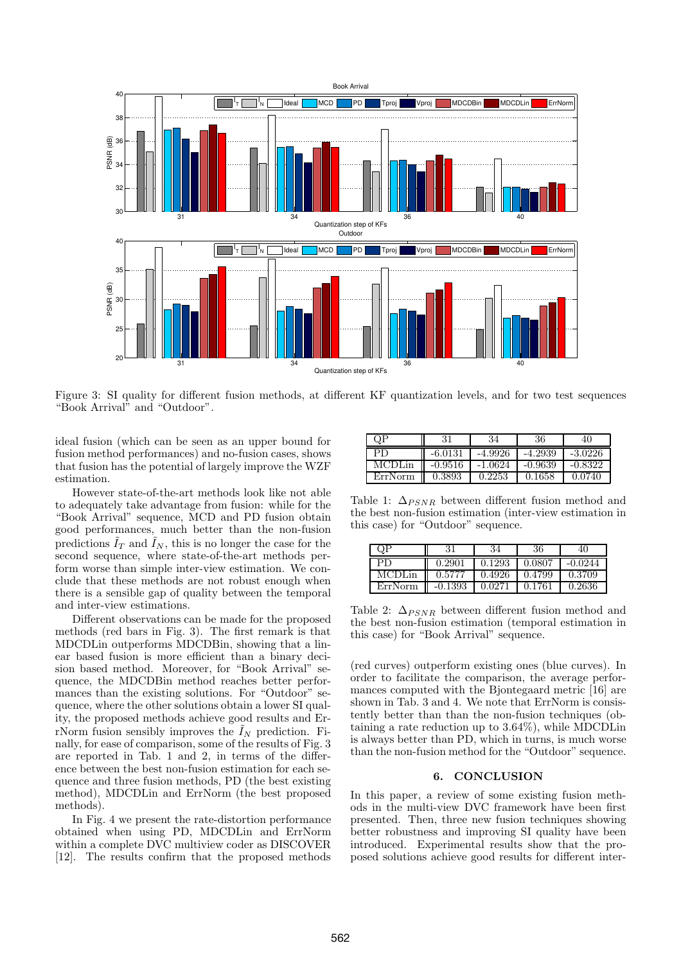

Figure 3: SI quality for different fusion methods, at different KF quantization levels, and for two test sequences "Book Arrival" and "Outdoor".

ideal fusion (which can be seen as an upper bound for fusion method performances) and no-fusion cases, shows that fusion has the potential of largely improve the WZF estimation.

However state-of-the-art methods look like not able to adequately take advantage from fusion: while for the "Book Arrival" sequence, MCD and PD fusion obtain good performances, much better than the non-fusion predictions  $\tilde{I}_T$  and  $\tilde{I}_N$ , this is no longer the case for the second sequence, where state-of-the-art methods perform worse than simple inter-view estimation. We conclude that these methods are not robust enough when there is a sensible gap of quality between the temporal and inter-view estimations.

Different observations can be made for the proposed methods (red bars in Fig. 3). The first remark is that MDCDLin outperforms MDCDBin, showing that a linear based fusion is more efficient than a binary decision based method. Moreover, for "Book Arrival" sequence, the MDCDBin method reaches better performances than the existing solutions. For "Outdoor" sequence, where the other solutions obtain a lower SI quality, the proposed methods achieve good results and ErrNorm fusion sensibly improves the  $\tilde{I}_N$  prediction. Finally, for ease of comparison, some of the results of Fig. 3 are reported in Tab. 1 and 2, in terms of the difference between the best non-fusion estimation for each sequence and three fusion methods, PD (the best existing method), MDCDLin and ErrNorm (the best proposed methods).

In Fig. 4 we present the rate-distortion performance obtained when using PD, MDCDLin and ErrNorm within a complete DVC multiview coder as DISCOVER [12]. The results confirm that the proposed methods

| QP      | 31        | 34        | 36        | 40        |
|---------|-----------|-----------|-----------|-----------|
| PD      | $-6.0131$ | $-4.9926$ | $-4.2939$ | $-3.0226$ |
| MCDLin  | $-0.9516$ | -1.0624   | $-0.9639$ | $-0.8322$ |
| ErrNorm | 0.3893    | 0.2253    | 0.1658    | 0.0740    |

Table 1:  $\Delta_{PSNR}$  between different fusion method and the best non-fusion estimation (inter-view estimation in this case) for "Outdoor" sequence.

|         |           | 34     | 36     | 40        |
|---------|-----------|--------|--------|-----------|
| PD      | 0.2901    | 0.1293 | 0.0807 | $-0.0244$ |
| MCDLin  | 0.5777    | 0.4926 | 0.4799 | 0.3709    |
| ErrNorm | $-0.1393$ | 0.0271 | 0.1761 | 0.2636    |

Table 2:  $\Delta_{PSNR}$  between different fusion method and the best non-fusion estimation (temporal estimation in this case) for "Book Arrival" sequence.

(red curves) outperform existing ones (blue curves). In order to facilitate the comparison, the average performances computed with the Bjontegaard metric [16] are shown in Tab. 3 and 4. We note that ErrNorm is consistently better than than the non-fusion techniques (obtaining a rate reduction up to 3.64%), while MDCDLin is always better than PD, which in turns, is much worse than the non-fusion method for the "Outdoor" sequence.

#### 6. CONCLUSION

In this paper, a review of some existing fusion methods in the multi-view DVC framework have been first presented. Then, three new fusion techniques showing better robustness and improving SI quality have been introduced. Experimental results show that the proposed solutions achieve good results for different inter-